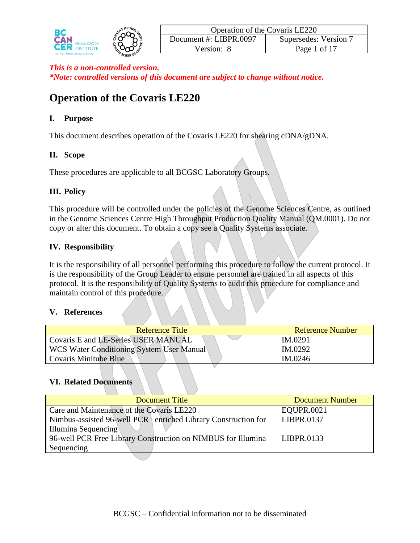

# **Operation of the Covaris LE220**

# **I. Purpose**

This document describes operation of the Covaris LE220 for shearing cDNA/gDNA.

# **II. Scope**

These procedures are applicable to all BCGSC Laboratory Groups.

# **III. Policy**

This procedure will be controlled under the policies of the Genome Sciences Centre, as outlined in the Genome Sciences Centre High Throughput Production Quality Manual (QM.0001). Do not copy or alter this document. To obtain a copy see a Quality Systems associate.

# **IV. Responsibility**

It is the responsibility of all personnel performing this procedure to follow the current protocol. It is the responsibility of the Group Leader to ensure personnel are trained in all aspects of this protocol. It is the responsibility of Quality Systems to audit this procedure for compliance and maintain control of this procedure.

# **V. References**

| Reference Title                           | Reference Number |
|-------------------------------------------|------------------|
| Covaris E and LE-Series USER MANUAL       | IM.0291          |
| WCS Water Conditioning System User Manual | IM.0292          |
| Covaris Minitube Blue                     | IM.0246          |
|                                           |                  |

# **VI. Related Documents**

| Document Title                                                 | <b>Document Number</b> |
|----------------------------------------------------------------|------------------------|
| Care and Maintenance of the Covaris LE220                      | EQUPR.0021             |
| Nimbus-assisted 96-well PCR -enriched Library Construction for | LIBPR.0137             |
| Illumina Sequencing                                            |                        |
| 96-well PCR Free Library Construction on NIMBUS for Illumina   | LIBPR.0133             |
| Sequencing                                                     |                        |
|                                                                |                        |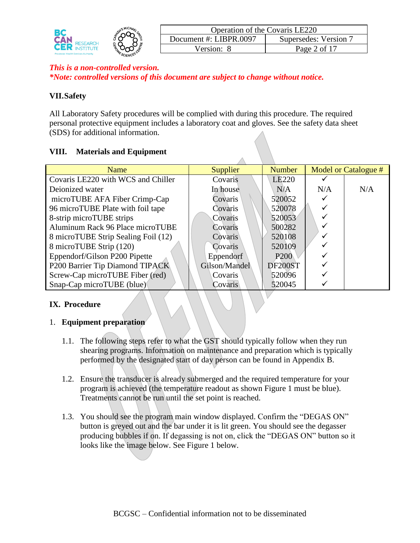|                                             |         | Operation of the Covaris LE220 |                       |
|---------------------------------------------|---------|--------------------------------|-----------------------|
| <b>SEARCH</b>                               |         | Document #: LIBPR.0097         | Supersedes: Version 7 |
| <b>Provincial Health Services Authority</b> | SCIENCE | $'$ ersion'                    | ∕ of∵<br>Page         |

## **VII.Safety**

All Laboratory Safety procedures will be complied with during this procedure. The required personal protective equipment includes a laboratory coat and gloves. See the safety data sheet (SDS) for additional information.

## **VIII. Materials and Equipment**

| Name                                | <b>Supplier</b> | <b>Number</b>     |     | Model or Catalogue # |
|-------------------------------------|-----------------|-------------------|-----|----------------------|
| Covaris LE220 with WCS and Chiller  | Covaris         | LE <sub>220</sub> |     |                      |
| Deionized water                     | In house        | N/A               | N/A | N/A                  |
| microTUBE AFA Fiber Crimp-Cap       | Covaris         | 520052            |     |                      |
| 96 microTUBE Plate with foil tape   | Covaris         | 520078            |     |                      |
| 8-strip microTUBE strips            | Covaris         | 520053            |     |                      |
| Aluminum Rack 96 Place microTUBE    | Covaris         | 500282            |     |                      |
| 8 microTUBE Strip Sealing Foil (12) | Covaris         | 520108            | ✓   |                      |
| 8 microTUBE Strip (120)             | Covaris         | 520109            |     |                      |
| Eppendorf/Gilson P200 Pipette       | Eppendorf       | <b>P200</b>       |     |                      |
| P200 Barrier Tip Diamond TIPACK     | Gilson/Mandel   | DF200ST           |     |                      |
| Screw-Cap microTUBE Fiber (red)     | Covaris         | 520096            |     |                      |
| Snap-Cap microTUBE (blue)           | Covaris         | 520045            |     |                      |

# **IX. Procedure**

## 1. **Equipment preparation**

- 1.1. The following steps refer to what the GST should typically follow when they run shearing programs. Information on maintenance and preparation which is typically performed by the designated start of day person can be found in Appendix B.
- 1.2. Ensure the transducer is already submerged and the required temperature for your program is achieved (the temperature readout as shown Figure 1 must be blue). Treatments cannot be run until the set point is reached.
- 1.3. You should see the program main window displayed. Confirm the "DEGAS ON" button is greyed out and the bar under it is lit green. You should see the degasser producing bubbles if on. If degassing is not on, click the "DEGAS ON" button so it looks like the image below. See Figure 1 below.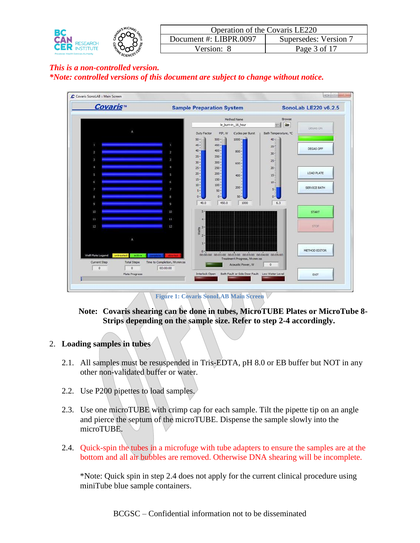|                                             | MICHAR, | Operation of the Covaris LE220 |                     |
|---------------------------------------------|---------|--------------------------------|---------------------|
|                                             |         | Document #: LIBPR.0097         | Supersedes: Version |
| <b>Provincial Health Services Authority</b> |         | ′ersion∙                       | Page 3 of 17        |



**Figure 1: Covaris SonoLAB Main Screen**

## **Note: Covaris shearing can be done in tubes, MicroTUBE Plates or MicroTube 8- Strips depending on the sample size. Refer to step 2-4 accordingly.**

## 2. **Loading samples in tubes**

- 2.1. All samples must be resuspended in Tris-EDTA, pH 8.0 or EB buffer but NOT in any other non-validated buffer or water.
- 2.2. Use P200 pipettes to load samples.
- 2.3. Use one microTUBE with crimp cap for each sample. Tilt the pipette tip on an angle and pierce the septum of the microTUBE. Dispense the sample slowly into the microTUBE.
- 2.4. Quick-spin the tubes in a microfuge with tube adapters to ensure the samples are at the bottom and all air bubbles are removed. Otherwise DNA shearing will be incomplete.

\*Note: Quick spin in step 2.4 does not apply for the current clinical procedure using miniTube blue sample containers.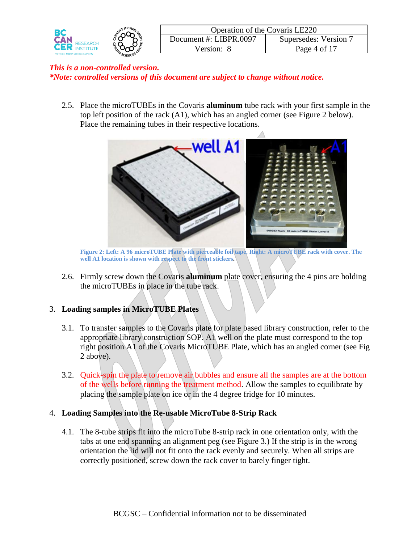

2.5. Place the microTUBEs in the Covaris **aluminum** tube rack with your first sample in the top left position of the rack (A1), which has an angled corner (see Figure 2 below). Place the remaining tubes in their respective locations.



**Figure 2: Left: A 96 microTUBE Plate with pierceable foil tape. Right: A microTUBE rack with cover. The well A1 location is shown with respect to the front stickers.**

2.6. Firmly screw down the Covaris **aluminum** plate cover, ensuring the 4 pins are holding the microTUBEs in place in the tube rack.

## 3. **Loading samples in MicroTUBE Plates**

- 3.1. To transfer samples to the Covaris plate for plate based library construction, refer to the appropriate library construction SOP. A1 well on the plate must correspond to the top right position A1 of the Covaris MicroTUBE Plate, which has an angled corner (see Fig 2 above).
- 3.2. Quick-spin the plate to remove air bubbles and ensure all the samples are at the bottom of the wells before running the treatment method. Allow the samples to equilibrate by placing the sample plate on ice or in the 4 degree fridge for 10 minutes.
- 4. **Loading Samples into the Re-usable MicroTube 8-Strip Rack**
	- 4.1. The 8-tube strips fit into the microTube 8-strip rack in one orientation only, with the tabs at one end spanning an alignment peg (see Figure 3.) If the strip is in the wrong orientation the lid will not fit onto the rack evenly and securely. When all strips are correctly positioned, screw down the rack cover to barely finger tight.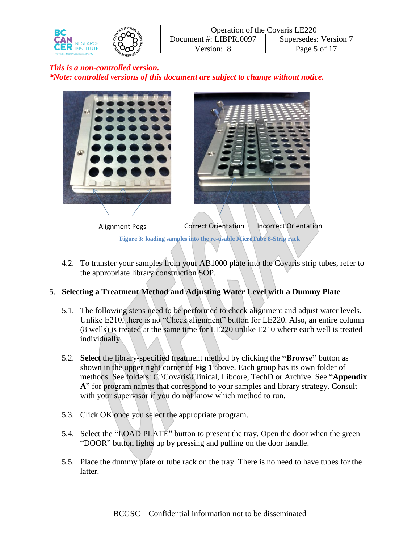



4.2. To transfer your samples from your AB1000 plate into the Covaris strip tubes, refer to the appropriate library construction SOP.

# 5. **Selecting a Treatment Method and Adjusting Water Level with a Dummy Plate**

- 5.1. The following steps need to be performed to check alignment and adjust water levels. Unlike E210, there is no "Check alignment" button for LE220. Also, an entire column (8 wells) is treated at the same time for LE220 unlike E210 where each well is treated individually.
- 5.2. **Select** the library-specified treatment method by clicking the **"Browse"** button as shown in the upper right corner of **Fig 1** above. Each group has its own folder of methods. See folders: C:\Covaris\Clinical, Libcore, TechD or Archive. See "**Appendix A**" for program names that correspond to your samples and library strategy. Consult with your supervisor if you do not know which method to run.
- 5.3. Click OK once you select the appropriate program.
- 5.4. Select the "LOAD PLATE" button to present the tray. Open the door when the green "DOOR" button lights up by pressing and pulling on the door handle.
- 5.5. Place the dummy plate or tube rack on the tray. There is no need to have tubes for the latter.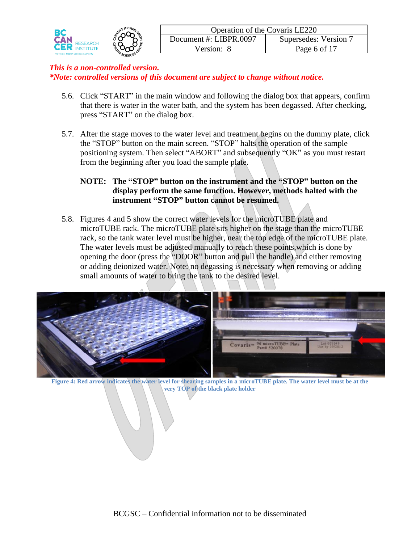| BC         | Operation of the Covaris LE220 |                     |
|------------|--------------------------------|---------------------|
| <b>CAI</b> | Document #: LIBPR.0097         | Supersedes: Version |
| CER        | √ersion∙                       | Page 6 of 17        |
|            |                                |                     |

- 5.6. Click "START" in the main window and following the dialog box that appears, confirm that there is water in the water bath, and the system has been degassed. After checking, press "START" on the dialog box.
- 5.7. After the stage moves to the water level and treatment begins on the dummy plate, click the "STOP" button on the main screen. "STOP" halts the operation of the sample positioning system. Then select "ABORT" and subsequently "OK" as you must restart from the beginning after you load the sample plate.

## **NOTE: The "STOP" button on the instrument and the "STOP" button on the display perform the same function. However, methods halted with the instrument "STOP" button cannot be resumed.**

5.8. Figures 4 and 5 show the correct water levels for the microTUBE plate and microTUBE rack. The microTUBE plate sits higher on the stage than the microTUBE rack, so the tank water level must be higher, near the top edge of the microTUBE plate. The water levels must be adjusted manually to reach these points,which is done by opening the door (press the "DOOR" button and pull the handle) and either removing or adding deionized water. Note: no degassing is necessary when removing or adding small amounts of water to bring the tank to the desired level.



**Figure 4: Red arrow indicates the water level for shearing samples in a microTUBE plate. The water level must be at the**  very TOP of the black plate holder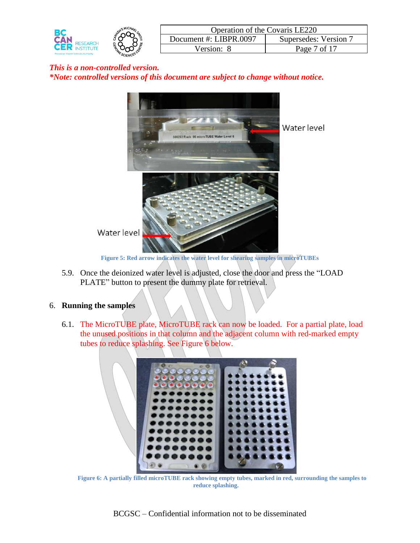



**Figure 5: Red arrow indicates the water level for shearing samples in microTUBEs**

5.9. Once the deionized water level is adjusted, close the door and press the "LOAD PLATE" button to present the dummy plate for retrieval.

## 6. **Running the samples**

6.1. The MicroTUBE plate, MicroTUBE rack can now be loaded. For a partial plate, load the unused positions in that column and the adjacent column with red-marked empty tubes to reduce splashing. See [Figure 6](#page-6-0) below.

<span id="page-6-0"></span>

**Figure 6: A partially filled microTUBE rack showing empty tubes, marked in red, surrounding the samples to reduce splashing.**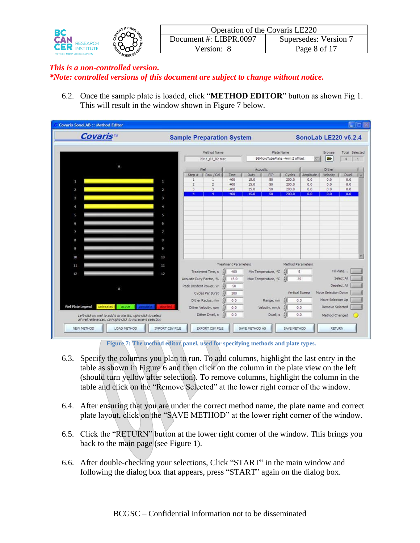|                                             |         | Operation of the Covaris LE220 |                       |
|---------------------------------------------|---------|--------------------------------|-----------------------|
|                                             |         | Document #: LIBPR.0097         | Supersedes: Version 7 |
| <b>Provincial Health Services Authority</b> | SCIENCL | /ersion:                       | Page 8 of 17          |

6.2. Once the sample plate is loaded, click "**METHOD EDITOR**" button as shown Fig 1. This will result in the window shown in Figure 7 below.

| Covaris <sup>™</sup>                                                                                                          |                | <b>Sample Preparation System</b> |                      |                      |             |                                |                   | SonoLab LE220 v6.2.4 |                     |                |
|-------------------------------------------------------------------------------------------------------------------------------|----------------|----------------------------------|----------------------|----------------------|-------------|--------------------------------|-------------------|----------------------|---------------------|----------------|
|                                                                                                                               |                |                                  | Method Name          |                      |             | Plate Name                     |                   |                      | Browse              | Total Selected |
|                                                                                                                               |                |                                  | 2011_03_02 test      |                      |             | 96MicroTubePlate -4mm Z offset |                   |                      | ₩                   | $\overline{4}$ |
|                                                                                                                               |                |                                  |                      |                      |             |                                |                   |                      |                     |                |
|                                                                                                                               |                |                                  | Well<br>Row / Col    | Time                 | <b>Duty</b> | Acoustic<br>ppp                | Cycles            | Amplitude            | Dither              | Dwell          |
|                                                                                                                               |                | Step $\equiv$<br>1               | 1                    | 400                  | 15.0        | 50                             | 200.0             | 0.0                  | Velocity<br>0.0     | 0.0            |
| n.                                                                                                                            | ÷              | $\overline{2}$                   | $\overline{2}$       | 400                  | 15.0        | 50                             | 200.0             | 0.0                  | 0.0                 | 0.0            |
| $\mathbf 2$                                                                                                                   | $\overline{2}$ | 3                                | 3                    | 400                  | 15.0        | 50                             | 200.0             | 0.0                  | 0.0                 | 0.0            |
|                                                                                                                               |                | 4                                | 4                    | 400                  | 15.0        | 50                             | 200.0             | 0.0                  | 0.0                 | 0.0            |
| $\mathbf{3}$                                                                                                                  | 3              |                                  |                      |                      |             |                                |                   |                      |                     |                |
| A                                                                                                                             | 4              |                                  |                      |                      |             |                                |                   |                      |                     |                |
|                                                                                                                               |                |                                  |                      |                      |             |                                |                   |                      |                     |                |
| S                                                                                                                             | 5              |                                  |                      |                      |             |                                |                   |                      |                     |                |
| 6                                                                                                                             | 6              |                                  |                      |                      |             |                                |                   |                      |                     |                |
| 7                                                                                                                             | 7              |                                  |                      |                      |             |                                |                   |                      |                     |                |
| 8                                                                                                                             | ß.             |                                  |                      |                      |             |                                |                   |                      |                     |                |
|                                                                                                                               |                |                                  |                      |                      |             |                                |                   |                      |                     |                |
| 9                                                                                                                             | 9              |                                  |                      |                      |             |                                |                   |                      |                     |                |
| 10                                                                                                                            | 10             |                                  |                      |                      |             |                                |                   |                      |                     |                |
| 11                                                                                                                            | 11             |                                  |                      | Treatment Parameters |             |                                | Method Parameters |                      |                     |                |
|                                                                                                                               |                |                                  | Treatment Time, s    | 400                  |             | Min Temperature, °C            |                   | 5                    |                     | Fill Plate     |
| 12                                                                                                                            | 12             | Acoustic Duty Factor, %          |                      | 15.0                 |             | Max Temperature, °C            | $\frac{1}{2}$     | 35                   |                     | Select All     |
|                                                                                                                               |                | Peak Incident Power, W.          |                      | 50                   |             |                                |                   |                      |                     | Deselect All   |
|                                                                                                                               |                |                                  | Cycles Per Burst     | 200                  |             |                                |                   | Vertical Sweep       | Move Selection Down |                |
|                                                                                                                               |                |                                  | Dither Radius, mm    | 0.0                  |             | Range, mm                      |                   | 0.0                  | Move Selection Up   |                |
| Well Plate Legend<br>untreated<br>active                                                                                      |                |                                  | Dither Velocity, rpm | 0.0                  |             | Velocity, mm/s                 |                   | 0.0.                 | Remove Selected     |                |
| Left-dick on well to add it to the list, right-dick to select<br>all well references, ctri-right-click to increment selection |                |                                  | Dither Dwell, s      | 0.0                  |             | Dwell, s                       |                   | 0.0                  | Method Changed      |                |

Figure 7: The method editor panel, used for specifying methods and plate types.

- 6.3. Specify the columns you plan to run. To add columns, highlight the last entry in the table as shown in Figure 6 and then click on the column in the plate view on the left (should turn yellow after selection). To remove columns, highlight the column in the table and click on the "Remove Selected" at the lower right corner of the window.
- 6.4. After ensuring that you are under the correct method name, the plate name and correct plate layout, click on the "SAVE METHOD" at the lower right corner of the window.
- 6.5. Click the "RETURN" button at the lower right corner of the window. This brings you back to the main page (see Figure 1).
- 6.6. After double-checking your selections, Click "START" in the main window and following the dialog box that appears, press "START" again on the dialog box.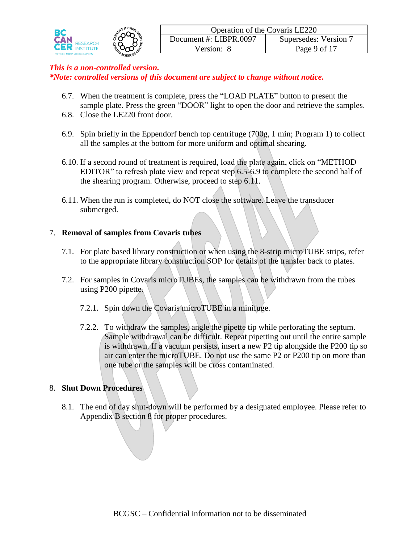

- 6.7. When the treatment is complete, press the "LOAD PLATE" button to present the sample plate. Press the green "DOOR" light to open the door and retrieve the samples.
- 6.8. Close the LE220 front door.
- 6.9. Spin briefly in the Eppendorf bench top centrifuge (700g, 1 min; Program 1) to collect all the samples at the bottom for more uniform and optimal shearing.
- 6.10. If a second round of treatment is required, load the plate again, click on "METHOD EDITOR" to refresh plate view and repeat step 6.5-6.9 to complete the second half of the shearing program. Otherwise, proceed to step 6.11.
- 6.11. When the run is completed, do NOT close the software. Leave the transducer submerged.

## 7. **Removal of samples from Covaris tubes**

- 7.1. For plate based library construction or when using the 8-strip microTUBE strips, refer to the appropriate library construction SOP for details of the transfer back to plates.
- 7.2. For samples in Covaris microTUBEs, the samples can be withdrawn from the tubes using P200 pipette.
	- 7.2.1. Spin down the Covaris microTUBE in a minifuge.
	- 7.2.2. To withdraw the samples, angle the pipette tip while perforating the septum. Sample withdrawal can be difficult. Repeat pipetting out until the entire sample is withdrawn. If a vacuum persists, insert a new P2 tip alongside the P200 tip so air can enter the microTUBE. Do not use the same P2 or P200 tip on more than one tube or the samples will be cross contaminated.

# 8. **Shut Down Procedures**

8.1. The end of day shut-down will be performed by a designated employee. Please refer to Appendix B section 8 for proper procedures.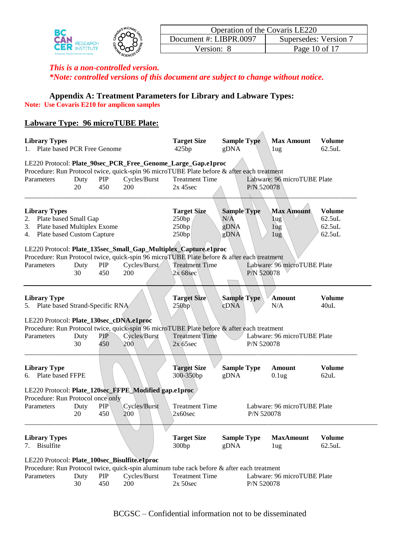| Ocument #: LIBPR.0097<br>Supersedes: Version 7<br><b>ESEARCH</b>                    |  |
|-------------------------------------------------------------------------------------|--|
| Page 10 of 17<br>'ersion'<br><b>Provincial Health Services Authority</b><br>SCIENCE |  |

# **Appendix A: Treatment Parameters for Library and Labware Types:**

**Note: Use Covaris E210 for amplicon samples**

# **Labware Type: 96 microTUBE Plate:**

| <b>Library Types</b><br>Plate based PCR Free Genome<br>$1_{\cdot}$                                                  |            |                   |                                                       | <b>Target Size</b><br>425bp                                                                                                                                                                       | <b>Sample Type</b><br>gDNA                |            | <b>Max Amount</b><br>1ug                  | <b>Volume</b><br>$62.5$ uL                  |
|---------------------------------------------------------------------------------------------------------------------|------------|-------------------|-------------------------------------------------------|---------------------------------------------------------------------------------------------------------------------------------------------------------------------------------------------------|-------------------------------------------|------------|-------------------------------------------|---------------------------------------------|
| Parameters                                                                                                          | Duty<br>20 | PIP<br>450        | Cycles/Burst<br>200                                   | LE220 Protocol: Plate_90sec_PCR_Free_Genome_Large_Gap.e1proc<br>Procedure: Run Protocol twice, quick-spin 96 microTUBE Plate before & after each treatment<br><b>Treatment Time</b><br>$2x$ 45sec |                                           | P/N 520078 | Labware: 96 microTUBE Plate               |                                             |
| <b>Library Types</b><br>2. Plate based Small Gap<br>3. Plate based Multiplex Exome<br>4. Plate based Custom Capture |            |                   |                                                       | <b>Target Size</b><br>250bp<br>250bp<br>250bp                                                                                                                                                     | <b>Sample Type</b><br>N/A<br>gDNA<br>gDNA |            | <b>Max Amount</b><br>$\log$<br>1ug<br>1ug | <b>Volume</b><br>62.5uL<br>62.5uL<br>62.5uL |
|                                                                                                                     |            |                   |                                                       | LE220 Protocol: Plate_135sec_Small_Gap_Multiplex_Capture.e1proc                                                                                                                                   |                                           |            |                                           |                                             |
| Parameters                                                                                                          | Duty<br>30 | PIP<br>450        | Cycles/Burst<br>200                                   | Procedure: Run Protocol twice, quick-spin 96 microTUBE Plate before & after each treatment<br><b>Treatment Time</b><br>$2x$ 68sec                                                                 |                                           | P/N 520078 | Labware: 96 microTUBE Plate               |                                             |
| <b>Library Type</b><br>5. Plate based Strand-Specific RNA                                                           |            |                   |                                                       | <b>Target Size</b><br>250bp                                                                                                                                                                       | <b>Sample Type</b><br>cDNA                |            | <b>Amount</b><br>N/A                      | <b>Volume</b><br>40uL                       |
| LE220 Protocol: Plate_130sec_cDNA.e1proc                                                                            |            |                   |                                                       |                                                                                                                                                                                                   |                                           |            |                                           |                                             |
| Parameters                                                                                                          | Duty<br>30 | <b>PIP</b><br>450 | Cycles/Burst<br>200                                   | Procedure: Run Protocol twice, quick-spin 96 microTUBE Plate before & after each treatment<br><b>Treatment Time</b><br>$2x\,65\,\text{sec}$                                                       |                                           | P/N 520078 | Labware: 96 microTUBE Plate               |                                             |
| <b>Library Type</b><br>6. Plate based FFPE                                                                          |            |                   |                                                       | <b>Target Size</b><br>300-350bp                                                                                                                                                                   | <b>Sample Type</b><br>gDNA                |            | Amount<br>0.1 <sub>ug</sub>               | <b>Volume</b><br>62uL                       |
|                                                                                                                     |            |                   | LE220 Protocol: Plate_120sec_FFPE_Modified gap.e1proc |                                                                                                                                                                                                   |                                           |            |                                           |                                             |
| Procedure: Run Protocol once only<br>Parameters                                                                     | Duty<br>20 | PIP<br>450        | Cycles/Burst<br>200                                   | <b>Treatment Time</b><br>2x60sec                                                                                                                                                                  |                                           | P/N 520078 | Labware: 96 microTUBE Plate               |                                             |
| <b>Library Types</b><br><b>Bisulfite</b><br>7.                                                                      |            |                   |                                                       | <b>Target Size</b><br>300bp                                                                                                                                                                       | <b>Sample Type</b><br>gDNA                |            | <b>MaxAmount</b><br>1 <sub>ug</sub>       | <b>Volume</b><br>$62.5$ uL                  |
| LE220 Protocol: Plate_100sec_Bisulfite.e1proc                                                                       |            |                   |                                                       |                                                                                                                                                                                                   |                                           |            |                                           |                                             |
| Parameters                                                                                                          | Duty<br>30 | PIP<br>450        | Cycles/Burst<br>200                                   | Procedure: Run Protocol twice, quick-spin aluminum tube rack before & after each treatment<br><b>Treatment Time</b><br>$2x 50$ sec                                                                |                                           | P/N 520078 | Labware: 96 microTUBE Plate               |                                             |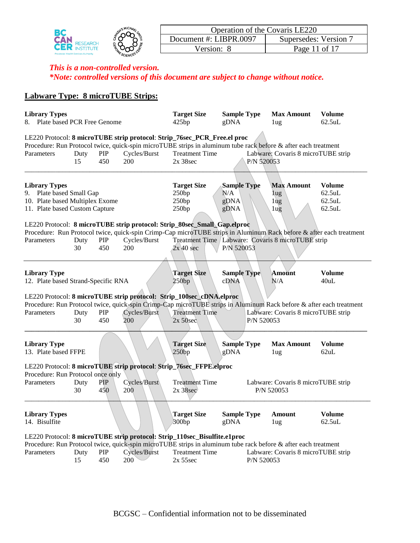| BC                                          | MICHA           | Operation of the Covaris LE220 |                     |
|---------------------------------------------|-----------------|--------------------------------|---------------------|
| <b>PESEARCH</b>                             |                 | $1$ Oocument #: LIBPR.0097     | Supersedes: Version |
| <b>Provincial Health Services Authority</b> |                 | ersion:/                       | Page 1<br>l 1 of 1  |
|                                             | <b>SCIENCEP</b> |                                |                     |

# **Labware Type: 8 microTUBE Strips:**

| <b>Library Types</b><br>Plate based PCR Free Genome<br>8.                                                             |            |                    |                     | <b>Target Size</b><br>425bp                                                                                                                                                                                                          | <b>Sample Type</b><br>gDNA                |            | <b>Max Amount</b><br>1 <sub>ug</sub>                | <b>Volume</b><br>62.5uL                              |
|-----------------------------------------------------------------------------------------------------------------------|------------|--------------------|---------------------|--------------------------------------------------------------------------------------------------------------------------------------------------------------------------------------------------------------------------------------|-------------------------------------------|------------|-----------------------------------------------------|------------------------------------------------------|
| Parameters                                                                                                            | Duty<br>15 | ${\bf PIP}$<br>450 | Cycles/Burst<br>200 | LE220 Protocol: 8 microTUBE strip protocol: Strip_76sec_PCR_Free.el proc<br>Procedure: Run Protocol twice, quick-spin microTUBE strips in aluminum tube rack before & after each treatment<br><b>Treatment Time</b><br>$2x$ 38sec    |                                           | P/N 520053 | Labware: Covaris 8 microTUBE strip                  |                                                      |
| <b>Library Types</b><br>9. Plate based Small Gap<br>10. Plate based Multiplex Exome<br>11. Plate based Custom Capture |            |                    |                     | <b>Target Size</b><br>250bp<br>250bp<br>250bp<br>LE220 Protocol: 8 microTUBE strip protocol: Strip_80sec_Small_Gap.elproc                                                                                                            | <b>Sample Type</b><br>N/A<br>gDNA<br>gDNA |            | <b>Max Amount</b><br>lug<br>1 <sub>ug</sub><br>1ug  | <b>Volume</b><br>$62.5$ uL<br>$62.5$ uL<br>$62.5$ uL |
| Parameters                                                                                                            | Duty<br>30 | PIP<br>450         | Cycles/Burst<br>200 | Procedure: Run Protocol twice, quick-spin Crimp-Cap microTUBE strips in Aluminum Rack before & after each treatment<br>$2x$ 40 sec                                                                                                   | P/N 520053                                |            | Treatment Time / Labware: Covaris 8 microTUBE strip |                                                      |
| <b>Library Type</b><br>12. Plate based Strand-Specific RNA                                                            |            |                    |                     | <b>Target Size</b><br>250bp                                                                                                                                                                                                          | <b>Sample Type</b><br>cDNA                |            | Amount<br>N/A                                       | <b>Volume</b><br>40uL                                |
| Parameters                                                                                                            | Duty<br>30 | PIP<br>450         | Cycles/Burst<br>200 | LE220 Protocol: 8 microTUBE strip protocol: Strip_100sec_cDNA.elproc<br>Procedure: Run Protocol twice, quick-spin Crimp-Cap microTUBE strips in Aluminum Rack before & after each treatment<br><b>Treatment Time</b><br>$2x 50$ sec  |                                           | P/N 520053 | Labware: Covaris 8 microTUBE strip                  |                                                      |
| <b>Library Type</b><br>13. Plate based FFPE                                                                           |            |                    |                     | <b>Target Size</b><br>250bp                                                                                                                                                                                                          | <b>Sample Type</b><br>gDNA                |            | <b>Max Amount</b><br>1ug                            | <b>Volume</b><br>62uL                                |
| Procedure: Run Protocol once only<br>Parameters                                                                       | Duty<br>30 | PIP<br>450         | Cycles/Burst<br>200 | LE220 Protocol: 8 microTUBE strip protocol: Strip_76sec_FFPE.elproc<br><b>Treatment Time</b><br>$2x\,38\,\text{sec}$                                                                                                                 |                                           |            | Labware: Covaris 8 microTUBE strip<br>P/N 520053    |                                                      |
| <b>Library Types</b><br>14. Bisulfite                                                                                 |            |                    |                     | <b>Target Size</b><br>300bp                                                                                                                                                                                                          | <b>Sample Type</b><br>gDNA                |            | Amount<br>1 <sub>ug</sub>                           | <b>Volume</b><br>62.5uL                              |
| Parameters                                                                                                            | Duty<br>15 | PIP<br>450         | Cycles/Burst<br>200 | LE220 Protocol: 8 microTUBE strip protocol: Strip_110sec_Bisulfite.e1proc<br>Procedure: Run Protocol twice, quick-spin microTUBE strips in aluminum tube rack before & after each treatment<br><b>Treatment Time</b><br>$2x\,55$ sec |                                           | P/N 520053 | Labware: Covaris 8 microTUBE strip                  |                                                      |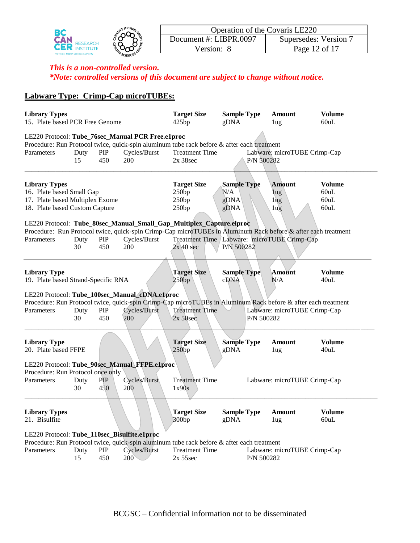|                                             | <b>MICHAL</b>  | Operation of the Covaris LE220 |                     |
|---------------------------------------------|----------------|--------------------------------|---------------------|
| RESEARCH                                    |                | Document #: LIBPR.0097         | Supersedes: Version |
|                                             |                | ersion:                        | Page 12 of 17       |
| <b>Provincial Health Services Authority</b> | <b>SCIENCE</b> |                                |                     |

# **Labware Type: Crimp-Cap microTUBEs:**

| <b>Library Types</b><br>15. Plate based PCR Free Genome                                                                |            |                   |                                                                       | <b>Target Size</b><br>425bp                                                                                                                                                 | <b>Sample Type</b><br>gDNA                |            | Amount<br>1 <sub>u</sub>                          | <b>Volume</b><br>60uL                 |
|------------------------------------------------------------------------------------------------------------------------|------------|-------------------|-----------------------------------------------------------------------|-----------------------------------------------------------------------------------------------------------------------------------------------------------------------------|-------------------------------------------|------------|---------------------------------------------------|---------------------------------------|
|                                                                                                                        |            |                   | LE220 Protocol: Tube_76sec_Manual PCR Free.e1proc                     | Procedure: Run Protocol twice, quick-spin aluminum tube rack before & after each treatment                                                                                  |                                           |            |                                                   |                                       |
| Parameters                                                                                                             | Duty<br>15 | PIP<br>450        | Cycles/Burst<br>200                                                   | <b>Treatment Time</b><br>$2x$ 38sec                                                                                                                                         |                                           | P/N 500282 | Labware: microTUBE Crimp-Cap                      |                                       |
| <b>Library Types</b><br>16. Plate based Small Gap<br>17. Plate based Multiplex Exome<br>18. Plate based Custom Capture |            |                   |                                                                       | <b>Target Size</b><br>250bp<br>250bp<br>250bp                                                                                                                               | <b>Sample Type</b><br>N/A<br>gDNA<br>gDNA |            | <b>Amount</b><br>$\log$<br>1 <sub>ug</sub><br>1ug | <b>Volume</b><br>60uL<br>60uL<br>60uL |
|                                                                                                                        |            |                   |                                                                       | LE220 Protocol: Tube_80sec_Manual_Small_Gap_Multiplex_Capture.elproc                                                                                                        |                                           |            |                                                   |                                       |
| Parameters                                                                                                             | Duty<br>30 | PIP<br>450        | Cycles/Burst<br>200                                                   | Procedure: Run Protocol twice, quick-spin Crimp-Cap microTUBEs in Aluminum Rack before & after each treatment<br>Treatment Time Labware: microTUBE Crimp-Cap<br>$2x$ 40 sec | P/N 500282                                |            |                                                   |                                       |
| <b>Library Type</b><br>19. Plate based Strand-Specific RNA                                                             |            |                   |                                                                       | <b>Target Size</b><br>250bp                                                                                                                                                 | <b>Sample Type</b><br>cDNA                |            | Amount<br>N/A                                     | <b>Volume</b><br>40uL                 |
| Parameters                                                                                                             | Duty<br>30 | PIP<br>450        | LE220 Protocol: Tube_100sec_Manual_cDNA.e1proc<br>Cycles/Burst<br>200 | Procedure: Run Protocol twice, quick-spin Crimp-Cap microTUBEs in Aluminum Rack before & after each treatment<br><b>Treatment Time</b><br>$2x 50$ sec                       |                                           | P/N 500282 | Labware: microTUBE Crimp-Cap                      |                                       |
| <b>Library Type</b><br>20. Plate based FFPE                                                                            |            |                   |                                                                       | <b>Target Size</b><br>250bp                                                                                                                                                 | <b>Sample Type</b><br>gDNA                |            | Amount<br>1ug                                     | <b>Volume</b><br>40uL                 |
|                                                                                                                        |            |                   | LE220 Protocol: Tube_90sec_Manual_FFPE.e1proc                         |                                                                                                                                                                             |                                           |            |                                                   |                                       |
| Procedure: Run Protocol once only                                                                                      |            |                   |                                                                       |                                                                                                                                                                             |                                           |            |                                                   |                                       |
| Parameters                                                                                                             | Duty<br>30 | <b>PIP</b><br>450 | Cycles/Burst<br>200                                                   | <b>Treatment Time</b><br>1x90s                                                                                                                                              |                                           |            | Labware: microTUBE Crimp-Cap                      |                                       |
| <b>Library Types</b><br>21. Bisulfite                                                                                  |            |                   |                                                                       | <b>Target Size</b><br>300bp                                                                                                                                                 | <b>Sample Type</b><br>gDNA                |            | Amount<br>1ug                                     | Volume<br>60uL                        |
| LE220 Protocol: Tube_110sec_Bisulfite.e1proc                                                                           |            |                   |                                                                       |                                                                                                                                                                             |                                           |            |                                                   |                                       |
| Parameters                                                                                                             | Duty<br>15 | PIP<br>450        | Cycles/Burst<br>$200^\circ$                                           | Procedure: Run Protocol twice, quick-spin aluminum tube rack before & after each treatment<br><b>Treatment Time</b><br>$2x\,55sec$                                          |                                           | P/N 500282 | Labware: microTUBE Crimp-Cap                      |                                       |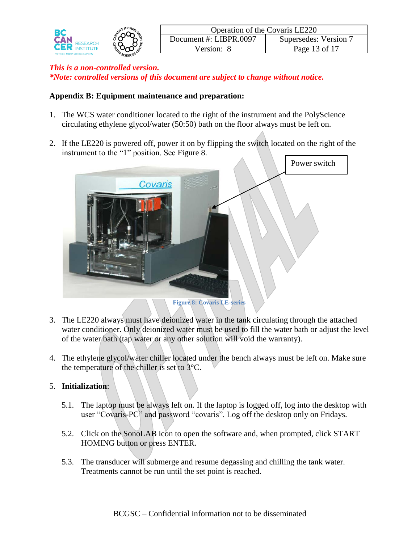|                                      |                | <b>Operation of the Covaris LE220</b> |                     |  |  |  |  |
|--------------------------------------|----------------|---------------------------------------|---------------------|--|--|--|--|
|                                      |                | Document #: LIBPR.0097                | Supersedes: Version |  |  |  |  |
|                                      |                | √ersion <sup>.</sup>                  | Page 13 of 17       |  |  |  |  |
| Provincial Health Services Authority | <b>SCIENCI</b> |                                       |                     |  |  |  |  |

## **Appendix B: Equipment maintenance and preparation:**

- 1. The WCS water conditioner located to the right of the instrument and the PolyScience circulating ethylene glycol/water (50:50) bath on the floor always must be left on.
- 2. If the LE220 is powered off, power it on by flipping the switch located on the right of the instrument to the "1" position. See Figure 8.



- 3. The LE220 always must have deionized water in the tank circulating through the attached water conditioner. Only deionized water must be used to fill the water bath or adjust the level of the water bath (tap water or any other solution will void the warranty).
- 4. The ethylene glycol/water chiller located under the bench always must be left on. Make sure the temperature of the chiller is set to 3°C.

# 5. **Initialization**:

- 5.1. The laptop must be always left on. If the laptop is logged off, log into the desktop with user "Covaris-PC" and password "covaris". Log off the desktop only on Fridays.
- 5.2. Click on the SonoLAB icon to open the software and, when prompted, click START HOMING button or press ENTER.
- 5.3. The transducer will submerge and resume degassing and chilling the tank water. Treatments cannot be run until the set point is reached.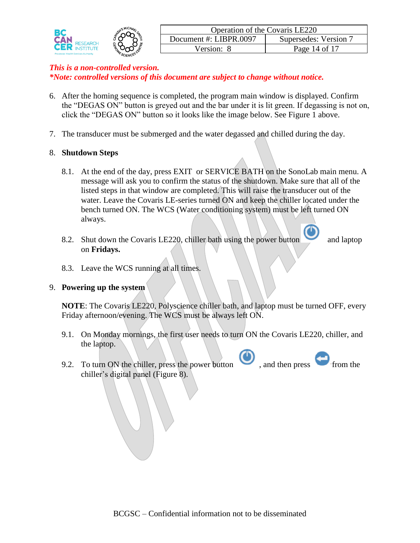|                                             |         | <b>Operation of the Covaris LE220</b> |                       |  |  |  |  |
|---------------------------------------------|---------|---------------------------------------|-----------------------|--|--|--|--|
| PAN.                                        |         | Document #: LIBPR 0097                | Supersedes: Version 7 |  |  |  |  |
| <b>CER</b>                                  |         | √ersion:                              | Page 14 of 17         |  |  |  |  |
| <b>Provincial Health Services Authority</b> | SCIENCN |                                       |                       |  |  |  |  |

- 6. After the homing sequence is completed, the program main window is displayed. Confirm the "DEGAS ON" button is greyed out and the bar under it is lit green. If degassing is not on, click the "DEGAS ON" button so it looks like the image below. See Figure 1 above.
- 7. The transducer must be submerged and the water degassed and chilled during the day.

## 8. **Shutdown Steps**

- 8.1. At the end of the day, press EXIT or SERVICE BATH on the SonoLab main menu. A message will ask you to confirm the status of the shutdown. Make sure that all of the listed steps in that window are completed. This will raise the transducer out of the water. Leave the Covaris LE-series turned ON and keep the chiller located under the bench turned ON. The WCS (Water conditioning system) must be left turned ON always.
- 8.2. Shut down the Covaris LE220, chiller bath using the power button and laptop on **Fridays.**

8.3. Leave the WCS running at all times.

## 9. **Powering up the system**

**NOTE**: The Covaris LE220, Polyscience chiller bath, and laptop must be turned OFF, every Friday afternoon/evening. The WCS must be always left ON.

- 9.1. On Monday mornings, the first user needs to turn ON the Covaris LE220, chiller, and the laptop.
- 9.2. To turn ON the chiller, press the power button  $\bullet$ , and then press from the chiller's digital panel (Figure 8).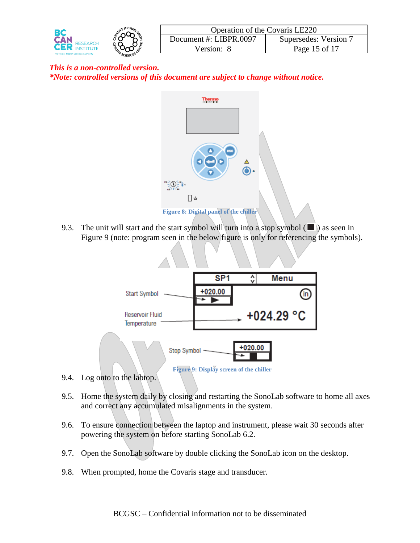



9.3. The unit will start and the start symbol will turn into a stop symbol  $(\blacksquare)$  as seen in Figure 9 (note: program seen in the below figure is only for referencing the symbols).



- 9.4. Log onto to the labtop.
- 9.5. Home the system daily by closing and restarting the SonoLab software to home all axes and correct any accumulated misalignments in the system.
- 9.6. To ensure connection between the laptop and instrument, please wait 30 seconds after powering the system on before starting SonoLab 6.2.
- 9.7. Open the SonoLab software by double clicking the SonoLab icon on the desktop.
- 9.8. When prompted, home the Covaris stage and transducer.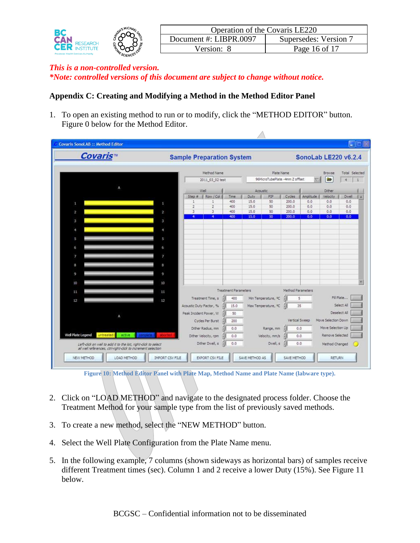| BC                                          | MCH <sub>A</sub> | Operation of the Covaris LE220 |                       |
|---------------------------------------------|------------------|--------------------------------|-----------------------|
| <b>CAN</b>                                  |                  | Document #: LIBPR.0097         | Supersedes: Version 7 |
| CER                                         |                  | $\sqrt{ }\,$ ersion $\cdot$    | Page 16 of 17         |
| <b>Provincial Health Services Authority</b> | SCIENC           |                                |                       |

## **Appendix C: Creating and Modifying a Method in the Method Editor Panel**

1. To open an existing method to run or to modify, click the "METHOD EDITOR" button. [Figure 0](#page-15-0) below for the Method Editor.

 $\overline{\wedge}$ 

| <b>Covaris</b> <sup>w</sup>                                   |                         | <b>Sample Preparation System</b> |                      |                             |              |                                |                   | SonoLab LE220 v6.2.4 |                     |                       |
|---------------------------------------------------------------|-------------------------|----------------------------------|----------------------|-----------------------------|--------------|--------------------------------|-------------------|----------------------|---------------------|-----------------------|
|                                                               |                         |                                  | Method Name          |                             |              | Plate Name                     |                   |                      | Browse              | <b>Total Selected</b> |
|                                                               |                         |                                  | 2011_03_02 test      |                             |              | 96MicroTubePlate -4mm Z offset |                   |                      | ₩                   | $\overline{a}$        |
|                                                               |                         |                                  | Well                 |                             |              | Acoustic                       |                   |                      | Dither              |                       |
|                                                               |                         | $Step =$                         | Row / Col            | Time:                       | Duty.        | PIP                            | Cycles            | Amplitude            | Velocity            | Dwell                 |
| 1                                                             | ×                       | ÷.<br>$\overline{2}$             | 1<br>$\overline{2}$  | 400<br>400                  | 15.0<br>15.0 | 50<br>50                       | 200.0<br>200.0    | 0.0<br>0.0           | 0.0<br>0.0          | 0.0<br>0.0            |
| $\overline{\mathbf{2}}$                                       | $\overline{2}$          | 3                                | 3                    | 400                         | 15.0         | 50                             | 200.0             | 0,0                  | 0.0                 | 0.0                   |
| 3                                                             | $\overline{\mathbf{3}}$ | $\overline{4}$                   | 4                    | 400                         | 15.0         | 50                             | 200.0             | 0,0                  | 0.0                 | 0.0                   |
|                                                               |                         |                                  |                      |                             |              |                                |                   |                      |                     |                       |
| A.                                                            | $\ddot{ }$              |                                  |                      |                             |              |                                |                   |                      |                     |                       |
| 5                                                             | 5                       |                                  |                      |                             |              |                                |                   |                      |                     |                       |
| 6                                                             | 6                       |                                  |                      |                             |              |                                |                   |                      |                     |                       |
|                                                               |                         |                                  |                      |                             |              |                                |                   |                      |                     |                       |
| $\overline{7}$                                                | 7                       |                                  |                      |                             |              |                                |                   |                      |                     |                       |
| 8                                                             | 8                       |                                  |                      |                             |              |                                |                   |                      |                     |                       |
| 9                                                             | 9                       |                                  |                      |                             |              |                                |                   |                      |                     |                       |
|                                                               | 10                      |                                  |                      |                             |              |                                |                   |                      |                     |                       |
| 10                                                            |                         |                                  |                      |                             |              |                                |                   |                      |                     |                       |
| 11                                                            | 11                      |                                  |                      | <b>Treatment Parameters</b> |              |                                | Method Parameters |                      |                     |                       |
| 12                                                            | 12                      |                                  | Treatment Time, s    | 400                         |              | Min Temperature, °C            |                   | 5                    |                     | Fill Plate            |
|                                                               |                         | Acoustic Duty Factor, %          |                      | 15.0                        |              | Max Temperature, °C            |                   | 35                   |                     | Select All            |
| ٨                                                             |                         | Peak Incident Power, W.          |                      | 50                          |              |                                |                   |                      |                     | Deselect All          |
|                                                               |                         |                                  | Cycles Per Burst     | 200                         |              |                                |                   | Vertical Sweep       | Move Selection Down |                       |
|                                                               |                         |                                  | Dither Radius, mm    | 0.0                         |              | Range, mm                      |                   | 0.0                  | Move Selection Up   |                       |
| Well Plate Legend<br>untreated<br>active                      |                         |                                  | Dither Velocity, rpm | 0.0                         |              | Velocity, mm/s                 |                   | 0.0                  | Remove Selected     |                       |
| Left-dick on well to add it to the list, right-dick to select |                         |                                  | Dither Dwell, s      | 0.0                         |              | Dwell, s                       |                   | 0.0                  | Method Changed      |                       |

**Figure 10: Method Editor Panel with Plate Map, Method Name and Plate Name (labware type).**

- <span id="page-15-0"></span>2. Click on "LOAD METHOD" and navigate to the designated process folder. Choose the Treatment Method for your sample type from the list of previously saved methods.
- 3. To create a new method, select the "NEW METHOD" button.
- 4. Select the Well Plate Configuration from the Plate Name menu.
- 5. In the following example, 7 columns (shown sideways as horizontal bars) of samples receive different Treatment times (sec). Column 1 and 2 receive a lower Duty (15%). See Figure 11 below.